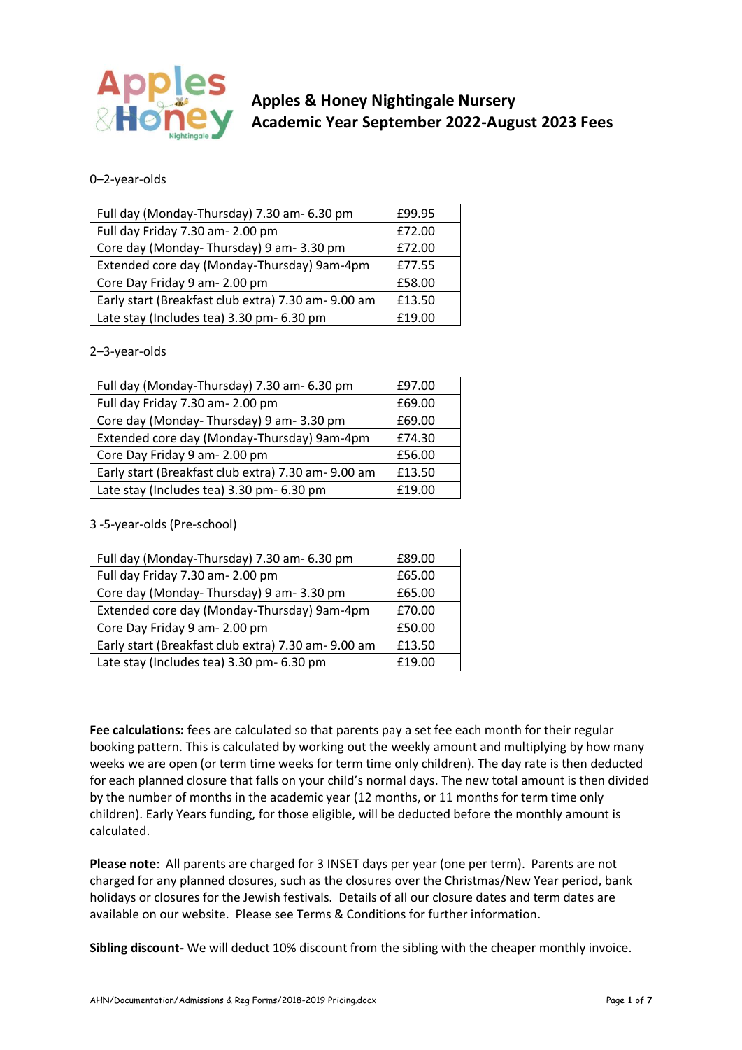

# **Apples & Honey Nightingale Nursery Academic Year September 2022-August 2023 Fees**

# 0–2-year-olds

| Full day (Monday-Thursday) 7.30 am- 6.30 pm         | £99.95 |
|-----------------------------------------------------|--------|
| Full day Friday 7.30 am- 2.00 pm                    | £72.00 |
| Core day (Monday-Thursday) 9 am-3.30 pm             | £72.00 |
| Extended core day (Monday-Thursday) 9am-4pm         | £77.55 |
| Core Day Friday 9 am- 2.00 pm                       | £58.00 |
| Early start (Breakfast club extra) 7.30 am- 9.00 am | £13.50 |
| Late stay (Includes tea) 3.30 pm- 6.30 pm           | £19.00 |

# 2–3-year-olds

| Full day (Monday-Thursday) 7.30 am- 6.30 pm         | £97.00 |
|-----------------------------------------------------|--------|
|                                                     |        |
| Full day Friday 7.30 am- 2.00 pm                    | £69.00 |
|                                                     |        |
| Core day (Monday-Thursday) 9 am-3.30 pm             | £69.00 |
|                                                     |        |
| Extended core day (Monday-Thursday) 9am-4pm         | £74.30 |
|                                                     |        |
| Core Day Friday 9 am- 2.00 pm                       | £56.00 |
|                                                     |        |
| Early start (Breakfast club extra) 7.30 am- 9.00 am | £13.50 |
|                                                     |        |
| Late stay (Includes tea) 3.30 pm- 6.30 pm           | £19.00 |

3 -5-year-olds (Pre-school)

| Full day (Monday-Thursday) 7.30 am- 6.30 pm         | £89.00 |
|-----------------------------------------------------|--------|
| Full day Friday 7.30 am- 2.00 pm                    | £65.00 |
| Core day (Monday-Thursday) 9 am-3.30 pm             | £65.00 |
| Extended core day (Monday-Thursday) 9am-4pm         | £70.00 |
| Core Day Friday 9 am- 2.00 pm                       | £50.00 |
| Early start (Breakfast club extra) 7.30 am- 9.00 am | £13.50 |
| Late stay (Includes tea) 3.30 pm- 6.30 pm           | £19.00 |

**Fee calculations:** fees are calculated so that parents pay a set fee each month for their regular booking pattern. This is calculated by working out the weekly amount and multiplying by how many weeks we are open (or term time weeks for term time only children). The day rate is then deducted for each planned closure that falls on your child's normal days. The new total amount is then divided by the number of months in the academic year (12 months, or 11 months for term time only children). Early Years funding, for those eligible, will be deducted before the monthly amount is calculated.

**Please note**: All parents are charged for 3 INSET days per year (one per term). Parents are not charged for any planned closures, such as the closures over the Christmas/New Year period, bank holidays or closures for the Jewish festivals. Details of all our closure dates and term dates are available on our website. Please see Terms & Conditions for further information.

**Sibling discount-** We will deduct 10% discount from the sibling with the cheaper monthly invoice.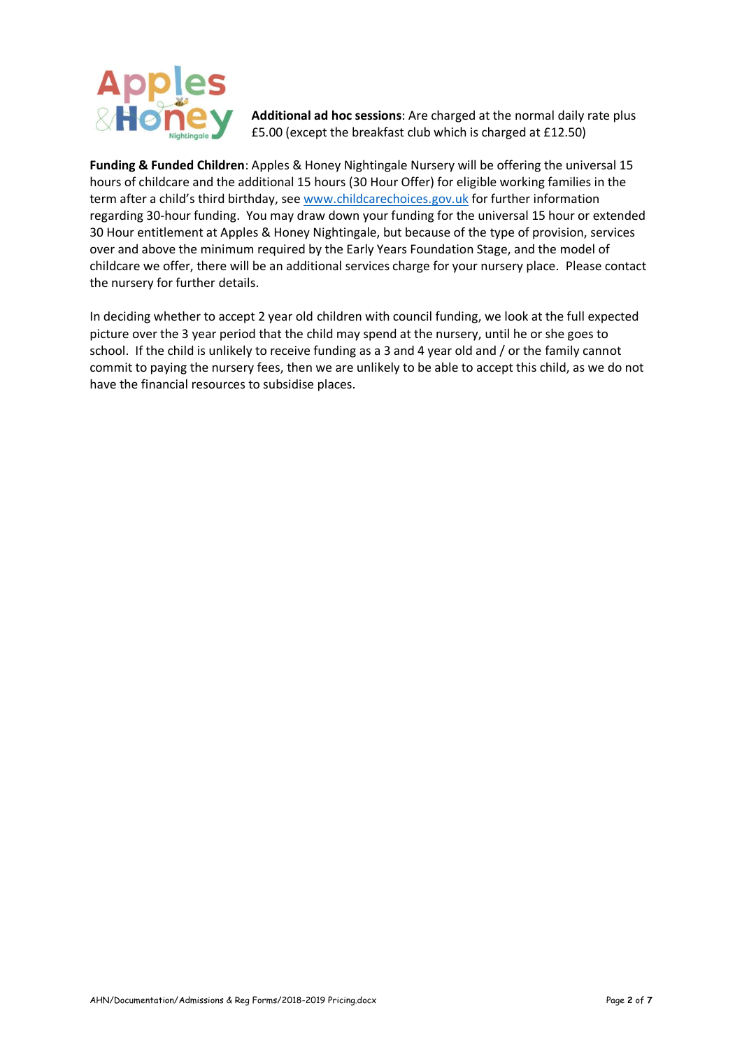

**Additional ad hoc sessions**: Are charged at the normal daily rate plus £5.00 (except the breakfast club which is charged at £12.50)

**Funding & Funded Children**: Apples & Honey Nightingale Nursery will be offering the universal 15 hours of childcare and the additional 15 hours (30 Hour Offer) for eligible working families in the term after a child's third birthday, se[e www.childcarechoices.gov.uk](http://www.childcarechoices.gov.uk/) for further information regarding 30-hour funding. You may draw down your funding for the universal 15 hour or extended 30 Hour entitlement at Apples & Honey Nightingale, but because of the type of provision, services over and above the minimum required by the Early Years Foundation Stage, and the model of childcare we offer, there will be an additional services charge for your nursery place. Please contact the nursery for further details.

In deciding whether to accept 2 year old children with council funding, we look at the full expected picture over the 3 year period that the child may spend at the nursery, until he or she goes to school. If the child is unlikely to receive funding as a 3 and 4 year old and / or the family cannot commit to paying the nursery fees, then we are unlikely to be able to accept this child, as we do not have the financial resources to subsidise places.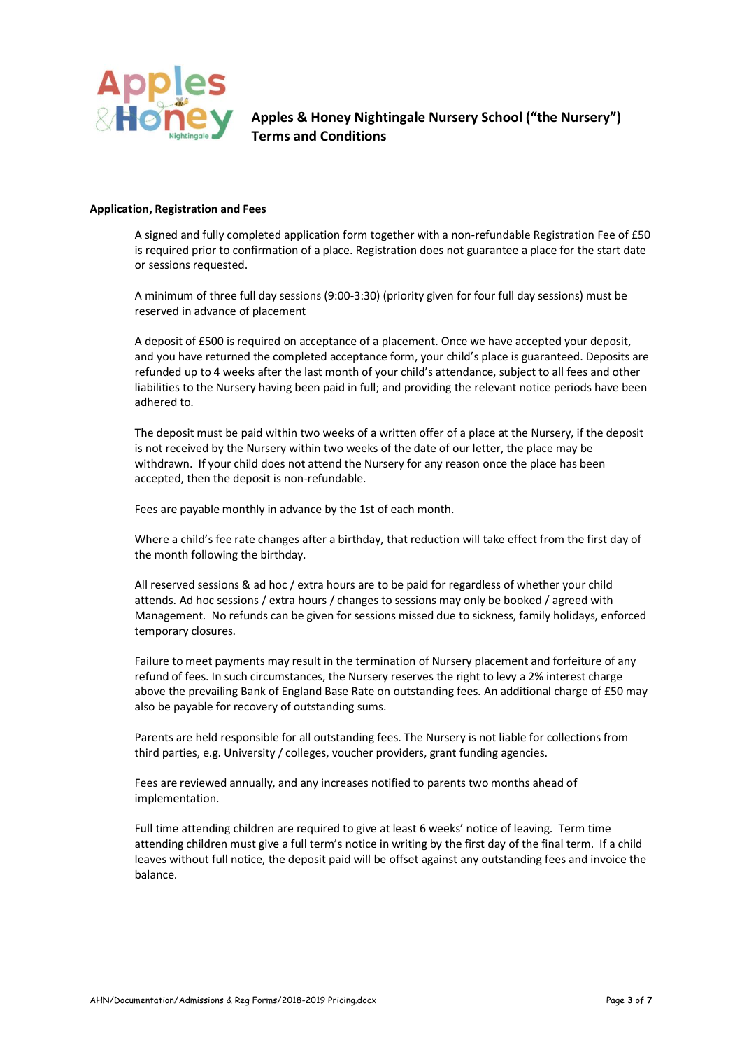

**Apples & Honey Nightingale Nursery School ("the Nursery") Terms and Conditions**

#### **Application, Registration and Fees**

A signed and fully completed application form together with a non-refundable Registration Fee of £50 is required prior to confirmation of a place. Registration does not guarantee a place for the start date or sessions requested.

A minimum of three full day sessions (9:00-3:30) (priority given for four full day sessions) must be reserved in advance of placement

A deposit of £500 is required on acceptance of a placement. Once we have accepted your deposit, and you have returned the completed acceptance form, your child's place is guaranteed. Deposits are refunded up to 4 weeks after the last month of your child's attendance, subject to all fees and other liabilities to the Nursery having been paid in full; and providing the relevant notice periods have been adhered to.

The deposit must be paid within two weeks of a written offer of a place at the Nursery, if the deposit is not received by the Nursery within two weeks of the date of our letter, the place may be withdrawn. If your child does not attend the Nursery for any reason once the place has been accepted, then the deposit is non-refundable.

Fees are payable monthly in advance by the 1st of each month.

Where a child's fee rate changes after a birthday, that reduction will take effect from the first day of the month following the birthday.

All reserved sessions & ad hoc / extra hours are to be paid for regardless of whether your child attends. Ad hoc sessions / extra hours / changes to sessions may only be booked / agreed with Management. No refunds can be given for sessions missed due to sickness, family holidays, enforced temporary closures.

Failure to meet payments may result in the termination of Nursery placement and forfeiture of any refund of fees. In such circumstances, the Nursery reserves the right to levy a 2% interest charge above the prevailing Bank of England Base Rate on outstanding fees. An additional charge of £50 may also be payable for recovery of outstanding sums.

Parents are held responsible for all outstanding fees. The Nursery is not liable for collections from third parties, e.g. University / colleges, voucher providers, grant funding agencies.

Fees are reviewed annually, and any increases notified to parents two months ahead of implementation.

Full time attending children are required to give at least 6 weeks' notice of leaving. Term time attending children must give a full term's notice in writing by the first day of the final term. If a child leaves without full notice, the deposit paid will be offset against any outstanding fees and invoice the balance.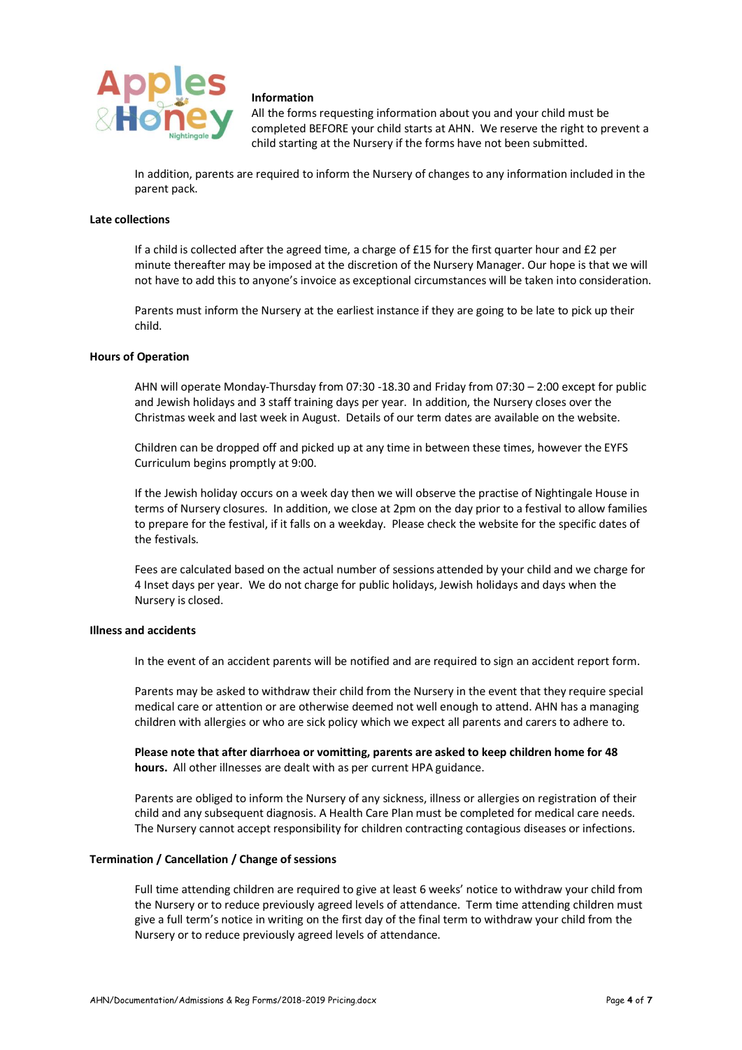

## **Information**

All the forms requesting information about you and your child must be completed BEFORE your child starts at AHN. We reserve the right to prevent a child starting at the Nursery if the forms have not been submitted.

In addition, parents are required to inform the Nursery of changes to any information included in the parent pack.

## **Late collections**

If a child is collected after the agreed time, a charge of £15 for the first quarter hour and £2 per minute thereafter may be imposed at the discretion of the Nursery Manager. Our hope is that we will not have to add this to anyone's invoice as exceptional circumstances will be taken into consideration.

Parents must inform the Nursery at the earliest instance if they are going to be late to pick up their child.

## **Hours of Operation**

AHN will operate Monday-Thursday from 07:30 -18.30 and Friday from 07:30 – 2:00 except for public and Jewish holidays and 3 staff training days per year. In addition, the Nursery closes over the Christmas week and last week in August. Details of our term dates are available on the website.

Children can be dropped off and picked up at any time in between these times, however the EYFS Curriculum begins promptly at 9:00.

If the Jewish holiday occurs on a week day then we will observe the practise of Nightingale House in terms of Nursery closures. In addition, we close at 2pm on the day prior to a festival to allow families to prepare for the festival, if it falls on a weekday. Please check the website for the specific dates of the festivals.

Fees are calculated based on the actual number of sessions attended by your child and we charge for 4 Inset days per year. We do not charge for public holidays, Jewish holidays and days when the Nursery is closed.

## **Illness and accidents**

In the event of an accident parents will be notified and are required to sign an accident report form.

Parents may be asked to withdraw their child from the Nursery in the event that they require special medical care or attention or are otherwise deemed not well enough to attend. AHN has a managing children with allergies or who are sick policy which we expect all parents and carers to adhere to.

**Please note that after diarrhoea or vomitting, parents are asked to keep children home for 48 hours.** All other illnesses are dealt with as per current HPA guidance.

Parents are obliged to inform the Nursery of any sickness, illness or allergies on registration of their child and any subsequent diagnosis. A Health Care Plan must be completed for medical care needs. The Nursery cannot accept responsibility for children contracting contagious diseases or infections.

#### **Termination / Cancellation / Change of sessions**

Full time attending children are required to give at least 6 weeks' notice to withdraw your child from the Nursery or to reduce previously agreed levels of attendance. Term time attending children must give a full term's notice in writing on the first day of the final term to withdraw your child from the Nursery or to reduce previously agreed levels of attendance.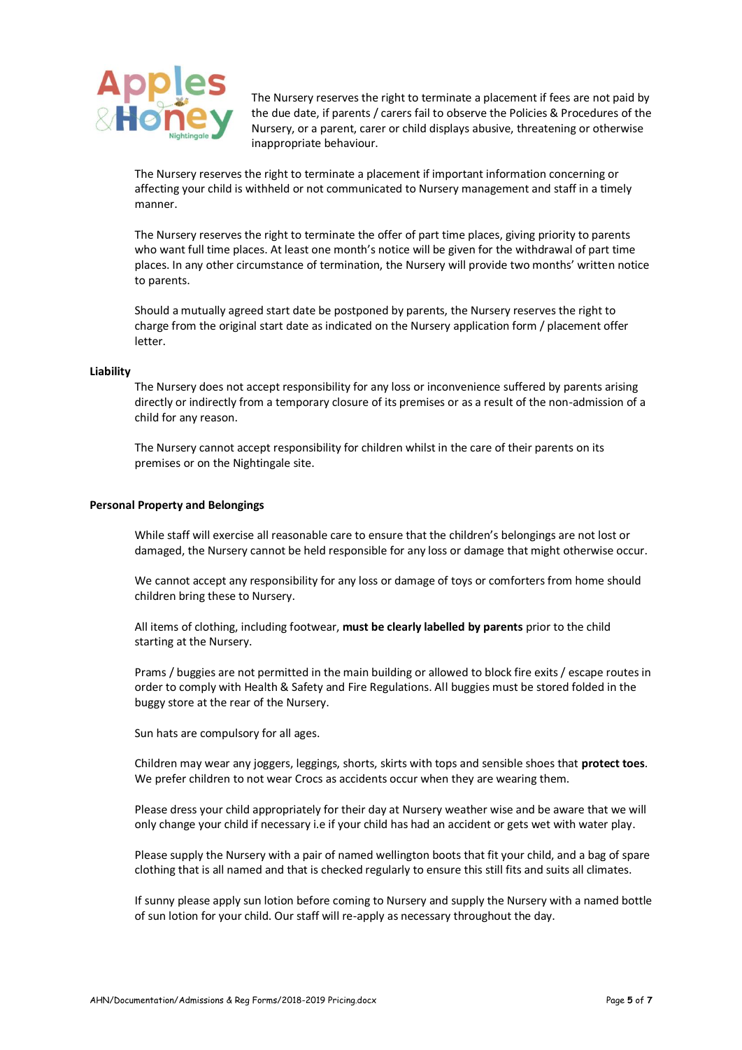

The Nursery reserves the right to terminate a placement if fees are not paid by the due date, if parents / carers fail to observe the Policies & Procedures of the Nursery, or a parent, carer or child displays abusive, threatening or otherwise inappropriate behaviour.

The Nursery reserves the right to terminate a placement if important information concerning or affecting your child is withheld or not communicated to Nursery management and staff in a timely manner.

The Nursery reserves the right to terminate the offer of part time places, giving priority to parents who want full time places. At least one month's notice will be given for the withdrawal of part time places. In any other circumstance of termination, the Nursery will provide two months' written notice to parents.

Should a mutually agreed start date be postponed by parents, the Nursery reserves the right to charge from the original start date as indicated on the Nursery application form / placement offer letter.

#### **Liability**

The Nursery does not accept responsibility for any loss or inconvenience suffered by parents arising directly or indirectly from a temporary closure of its premises or as a result of the non-admission of a child for any reason.

The Nursery cannot accept responsibility for children whilst in the care of their parents on its premises or on the Nightingale site.

#### **Personal Property and Belongings**

While staff will exercise all reasonable care to ensure that the children's belongings are not lost or damaged, the Nursery cannot be held responsible for any loss or damage that might otherwise occur.

We cannot accept any responsibility for any loss or damage of toys or comforters from home should children bring these to Nursery.

All items of clothing, including footwear, **must be clearly labelled by parents** prior to the child starting at the Nursery.

Prams / buggies are not permitted in the main building or allowed to block fire exits / escape routes in order to comply with Health & Safety and Fire Regulations. All buggies must be stored folded in the buggy store at the rear of the Nursery.

Sun hats are compulsory for all ages.

Children may wear any joggers, leggings, shorts, skirts with tops and sensible shoes that **protect toes**. We prefer children to not wear Crocs as accidents occur when they are wearing them.

Please dress your child appropriately for their day at Nursery weather wise and be aware that we will only change your child if necessary i.e if your child has had an accident or gets wet with water play.

Please supply the Nursery with a pair of named wellington boots that fit your child, and a bag of spare clothing that is all named and that is checked regularly to ensure this still fits and suits all climates.

If sunny please apply sun lotion before coming to Nursery and supply the Nursery with a named bottle of sun lotion for your child. Our staff will re-apply as necessary throughout the day.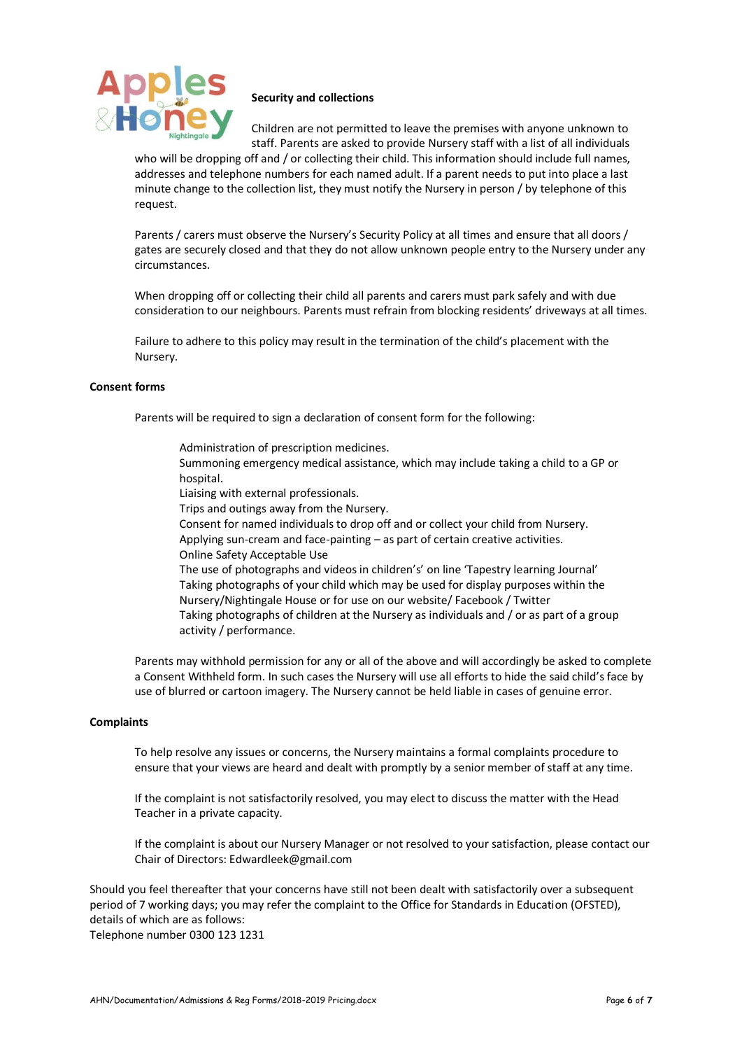

# **Security and collections**

Children are not permitted to leave the premises with anyone unknown to staff. Parents are asked to provide Nursery staff with a list of all individuals

who will be dropping off and / or collecting their child. This information should include full names, addresses and telephone numbers for each named adult. If a parent needs to put into place a last minute change to the collection list, they must notify the Nursery in person / by telephone of this request.

Parents / carers must observe the Nursery's Security Policy at all times and ensure that all doors / gates are securely closed and that they do not allow unknown people entry to the Nursery under any circumstances.

When dropping off or collecting their child all parents and carers must park safely and with due consideration to our neighbours. Parents must refrain from blocking residents' driveways at all times.

Failure to adhere to this policy may result in the termination of the child's placement with the Nursery.

## **Consent forms**

Parents will be required to sign a declaration of consent form for the following:

- Administration of prescription medicines.
- Summoning emergency medical assistance, which may include taking a child to a GP or hospital.
- Liaising with external professionals.
- Trips and outings away from the Nursery.
- Consent for named individuals to drop off and or collect your child from Nursery. Applying sun-cream and face-painting – as part of certain creative activities.
- Online Safety Acceptable Use

The use of photographs and videos in children's' on line 'Tapestry learning Journal' Taking photographs of your child which may be used for display purposes within the Nursery/Nightingale House or for use on our website/ Facebook / Twitter Taking photographs of children at the Nursery as individuals and / or as part of a group activity / performance.

Parents may withhold permission for any or all of the above and will accordingly be asked to complete a Consent Withheld form. In such cases the Nursery will use all efforts to hide the said child's face by use of blurred or cartoon imagery. The Nursery cannot be held liable in cases of genuine error.

#### **Complaints**

To help resolve any issues or concerns, the Nursery maintains a formal complaints procedure to ensure that your views are heard and dealt with promptly by a senior member of staff at any time.

If the complaint is not satisfactorily resolved, you may elect to discuss the matter with the Head Teacher in a private capacity.

If the complaint is about our Nursery Manager or not resolved to your satisfaction, please contact our Chair of Directors: Edwardleek@gmail.com

Should you feel thereafter that your concerns have still not been dealt with satisfactorily over a subsequent period of 7 working days; you may refer the complaint to the Office for Standards in Education (OFSTED), details of which are as follows:

Telephone number 0300 123 1231